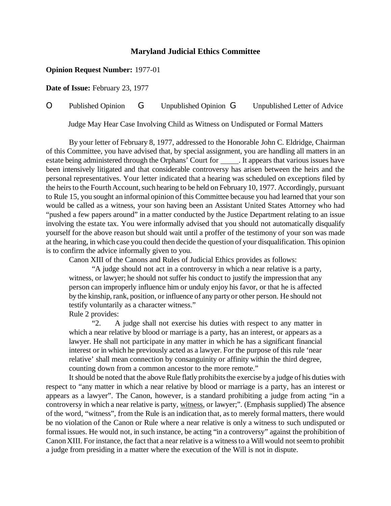## **Maryland Judicial Ethics Committee**

## **Opinion Request Number:** 1977-01

**Date of Issue:** February 23, 1977

## O Published Opinion G Unpublished Opinion G Unpublished Letter of Advice

Judge May Hear Case Involving Child as Witness on Undisputed or Formal Matters

By your letter of February 8, 1977, addressed to the Honorable John C. Eldridge, Chairman of this Committee, you have advised that, by special assignment, you are handling all matters in an estate being administered through the Orphans' Court for \_\_\_\_\_\_. It appears that various issues have been intensively litigated and that considerable controversy has arisen between the heirs and the personal representatives. Your letter indicated that a hearing was scheduled on exceptions filed by the heirs to the Fourth Account, such hearing to be held on February 10, 1977. Accordingly, pursuant to Rule 15, you sought an informal opinion of this Committee because you had learned that your son would be called as a witness, your son having been an Assistant United States Attorney who had "pushed a few papers around" in a matter conducted by the Justice Department relating to an issue involving the estate tax. You were informally advised that you should not automatically disqualify yourself for the above reason but should wait until a proffer of the testimony of your son was made at the hearing, in which case you could then decide the question of your disqualification. This opinion is to confirm the advice informally given to you.

Canon XIII of the Canons and Rules of Judicial Ethics provides as follows:

"A judge should not act in a controversy in which a near relative is a party, witness, or lawyer; he should not suffer his conduct to justify the impression that any person can improperly influence him or unduly enjoy his favor, or that he is affected by the kinship, rank, position, or influence of any party or other person. He should not testify voluntarily as a character witness."

Rule 2 provides:

"2. A judge shall not exercise his duties with respect to any matter in which a near relative by blood or marriage is a party, has an interest, or appears as a lawyer. He shall not participate in any matter in which he has a significant financial interest or in which he previously acted as a lawyer. For the purpose of this rule 'near relative' shall mean connection by consanguinity or affinity within the third degree, counting down from a common ancestor to the more remote."

It should be noted that the above Rule flatly prohibits the exercise by a judge of his duties with respect to "any matter in which a near relative by blood or marriage is a party, has an interest or appears as a lawyer". The Canon, however, is a standard prohibiting a judge from acting "in a controversy in which a near relative is party, witness, or lawyer;". (Emphasis supplied) The absence of the word, "witness", from the Rule is an indication that, as to merely formal matters, there would be no violation of the Canon or Rule where a near relative is only a witness to such undisputed or formal issues. He would not, in such instance, be acting "in a controversy" against the prohibition of Canon XIII. For instance, the fact that a near relative is a witness to a Will would not seem to prohibit a judge from presiding in a matter where the execution of the Will is not in dispute.